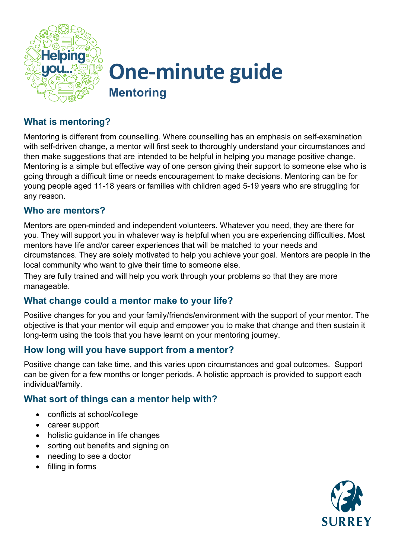

## **One-minute guide Mentoring**

### **What is mentoring?**

Mentoring is different from counselling. Where counselling has an emphasis on self-examination with self-driven change, a mentor will first seek to thoroughly understand your circumstances and then make suggestions that are intended to be helpful in helping you manage positive change. Mentoring is a simple but effective way of one person giving their support to someone else who is going through a difficult time or needs encouragement to make decisions. Mentoring can be for young people aged 11-18 years or families with children aged 5-19 years who are struggling for any reason.

#### **Who are mentors?**

Mentors are open-minded and independent volunteers. Whatever you need, they are there for you. They will support you in whatever way is helpful when you are experiencing difficulties. Most mentors have life and/or career experiences that will be matched to your needs and circumstances. They are solely motivated to help you achieve your goal. Mentors are people in the local community who want to give their time to someone else.

They are fully trained and will help you work through your problems so that they are more manageable.

#### **What change could a mentor make to your life?**

Positive changes for you and your family/friends/environment with the support of your mentor. The objective is that your mentor will equip and empower you to make that change and then sustain it long-term using the tools that you have learnt on your mentoring journey.

#### **How long will you have support from a mentor?**

Positive change can take time, and this varies upon circumstances and goal outcomes. Support can be given for a few months or longer periods. A holistic approach is provided to support each individual/family.

#### **What sort of things can a mentor help with?**

- conflicts at school/college
- career support
- holistic guidance in life changes
- sorting out benefits and signing on
- needing to see a doctor
- filling in forms